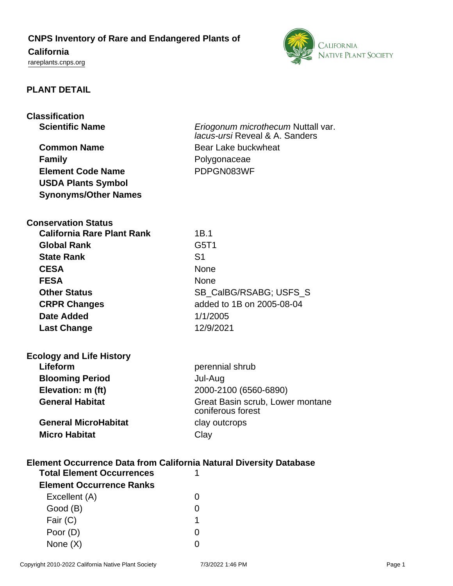## **CNPS Inventory of Rare and Endangered Plants of**

# **California**

<rareplants.cnps.org>



## **PLANT DETAIL**

| <b>Classification</b>                                                     |                                                                      |  |
|---------------------------------------------------------------------------|----------------------------------------------------------------------|--|
| <b>Scientific Name</b>                                                    | Eriogonum microthecum Nuttall var.<br>lacus-ursi Reveal & A. Sanders |  |
| <b>Common Name</b>                                                        | Bear Lake buckwheat                                                  |  |
| <b>Family</b>                                                             | Polygonaceae                                                         |  |
| <b>Element Code Name</b>                                                  | PDPGN083WF                                                           |  |
| <b>USDA Plants Symbol</b>                                                 |                                                                      |  |
| <b>Synonyms/Other Names</b>                                               |                                                                      |  |
| <b>Conservation Status</b>                                                |                                                                      |  |
| <b>California Rare Plant Rank</b>                                         | 1B.1                                                                 |  |
| <b>Global Rank</b>                                                        | G5T1                                                                 |  |
| <b>State Rank</b>                                                         | S <sub>1</sub>                                                       |  |
| <b>CESA</b>                                                               | <b>None</b>                                                          |  |
| <b>FESA</b>                                                               | <b>None</b>                                                          |  |
| <b>Other Status</b>                                                       | SB_CalBG/RSABG; USFS_S                                               |  |
| <b>CRPR Changes</b>                                                       | added to 1B on 2005-08-04                                            |  |
| Date Added                                                                | 1/1/2005                                                             |  |
| <b>Last Change</b>                                                        | 12/9/2021                                                            |  |
| <b>Ecology and Life History</b>                                           |                                                                      |  |
| Lifeform                                                                  | perennial shrub                                                      |  |
| <b>Blooming Period</b>                                                    | Jul-Aug                                                              |  |
| Elevation: m (ft)                                                         | 2000-2100 (6560-6890)                                                |  |
| <b>General Habitat</b>                                                    | Great Basin scrub, Lower montane<br>coniferous forest                |  |
| <b>General MicroHabitat</b>                                               | clay outcrops                                                        |  |
| <b>Micro Habitat</b>                                                      | Clay                                                                 |  |
| <b>Element Occurrence Data from California Natural Diversity Database</b> |                                                                      |  |
| <b>Total Element Occurrences</b><br>1                                     |                                                                      |  |

| TULAT LIGHIGHL ULLUITGHLGS      |   |
|---------------------------------|---|
| <b>Element Occurrence Ranks</b> |   |
| Excellent (A)                   |   |
| Good (B)                        |   |
| Fair (C)                        | 1 |
| Poor (D)                        |   |
| None $(X)$                      |   |
|                                 |   |